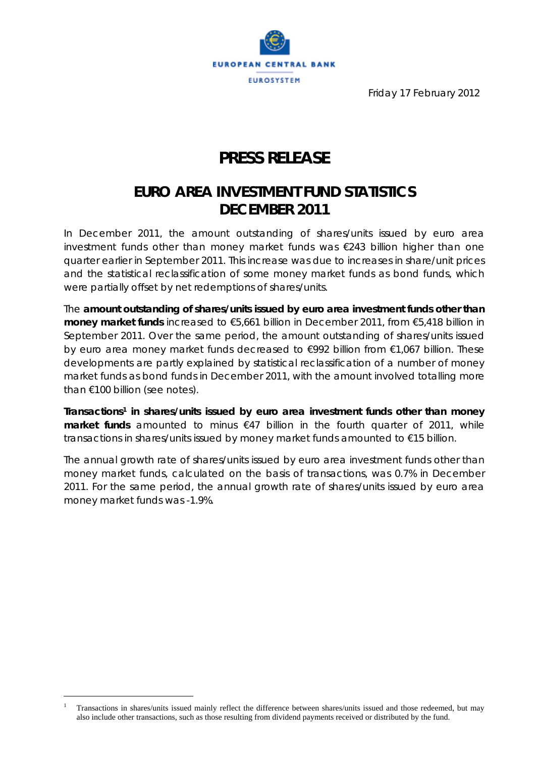

Friday 17 February 2012

# **PRESS RELEASE**

### **EURO AREA INVESTMENT FUND STATISTICS DECEMBER 2011**

*In December 2011, the amount outstanding of shares/units issued by euro area investment funds other than money market funds was €243 billion higher than one quarter earlier in September 2011. This increase was due to increases in share/unit prices and the statistical reclassification of some money market funds as bond funds, which were partially offset by net redemptions of shares/units.* 

The **amount outstanding of shares/units issued by euro area investment funds other than money market funds** increased to €5,661 billion in December 2011, from €5,418 billion in September 2011. Over the same period, the amount outstanding of shares/units issued by euro area money market funds decreased to €992 billion from €1,067 billion. These developments are partly explained by statistical reclassification of a number of money market funds as bond funds in December 2011, with the amount involved totalling more than €100 billion (see notes).

**Transactions1 in shares/units issued by euro area investment funds other than money market funds** amounted to minus €47 billion in the fourth quarter of 2011, while transactions in shares/units issued by money market funds amounted to €15 billion.

The annual growth rate of shares/units issued by euro area investment funds other than money market funds, calculated on the basis of transactions, was 0.7% in December 2011. For the same period, the annual growth rate of shares/units issued by euro area money market funds was -1.9%.

 $\overline{a}$ 

<sup>1</sup> Transactions in shares/units issued mainly reflect the difference between shares/units issued and those redeemed, but may also include other transactions, such as those resulting from dividend payments received or distributed by the fund.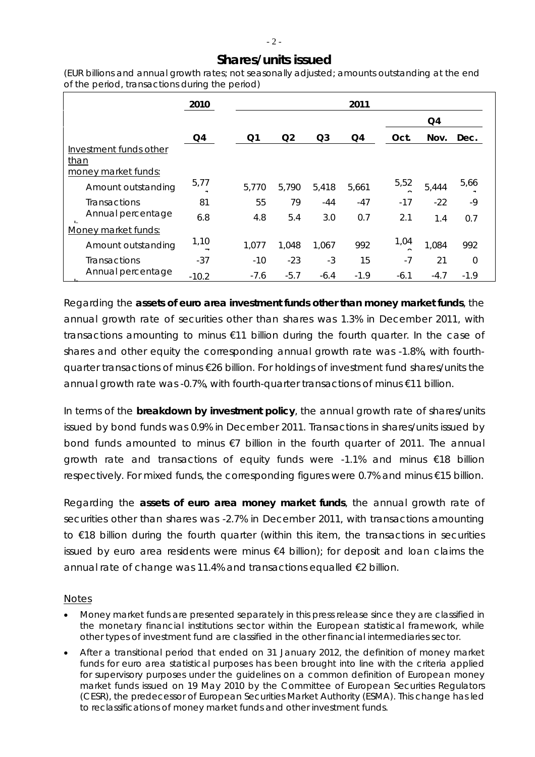### **Shares/units issued**

*(EUR billions and annual growth rates; not seasonally adjusted; amounts outstanding at the end of the period, transactions during the period)*

|                                                       | 2010    |        |                |                | 2011   |        |        |          |
|-------------------------------------------------------|---------|--------|----------------|----------------|--------|--------|--------|----------|
|                                                       |         |        |                |                |        |        | Q4     |          |
|                                                       | Q4      | Q1     | Q <sub>2</sub> | Q <sub>3</sub> | Q4     | Oct.   | Nov.   | Dec.     |
| Investment funds other<br>than<br>money market funds: |         |        |                |                |        |        |        |          |
| Amount outstanding                                    | 5,77    | 5,770  | 5,790          | 5,418          | 5,661  | 5,52   | 5,444  | 5,66     |
| <b>Transactions</b>                                   | 81      | 55     | 79             | $-44$          | $-47$  | $-17$  | $-22$  | $-9$     |
| Annual percentage                                     | 6.8     | 4.8    | 5.4            | 3.0            | 0.7    | 2.1    | 1.4    | 0.7      |
| Money market funds:                                   |         |        |                |                |        |        |        |          |
| Amount outstanding                                    | 1,10    | 1,077  | 1,048          | 1,067          | 992    | 1,04   | 1,084  | 992      |
| <b>Transactions</b>                                   | $-37$   | $-10$  | $-23$          | $-3$           | 15     | $-7$   | 21     | $\Omega$ |
| Annual percentage                                     | $-10.2$ | $-7.6$ | $-5.7$         | $-6.4$         | $-1.9$ | $-6.1$ | $-4.7$ | $-1.9$   |

Regarding the **assets of euro area investment funds other than money market funds**, the annual growth rate of securities other than shares was 1.3% in December 2011, with transactions amounting to minus €11 billion during the fourth quarter. In the case of shares and other equity the corresponding annual growth rate was -1.8%, with fourthquarter transactions of minus €26 billion. For holdings of investment fund shares/units the annual growth rate was -0.7%, with fourth-quarter transactions of minus €11 billion.

In terms of the **breakdown by investment policy**, the annual growth rate of shares/units issued by bond funds was 0.9% in December 2011. Transactions in shares/units issued by bond funds amounted to minus €7 billion in the fourth quarter of 2011. The annual growth rate and transactions of equity funds were -1.1% and minus €18 billion respectively. For mixed funds, the corresponding figures were 0.7% and minus €15 billion.

Regarding the **assets of euro area money market funds**, the annual growth rate of securities other than shares was -2.7% in December 2011, with transactions amounting to €18 billion during the fourth quarter (within this item, the transactions in securities issued by euro area residents were minus €4 billion); for deposit and loan claims the annual rate of change was 11.4% and transactions equalled €2 billion.

#### *Notes*

- *Money market funds are presented separately in this press release since they are classified in the monetary financial institutions sector within the European statistical framework, while other types of investment fund are classified in the other financial intermediaries sector.*
- *After a transitional period that ended on 31 January 2012, the definition of money market funds for euro area statistical purposes has been brought into line with the criteria applied for supervisory purposes under the guidelines on a common definition of European money market funds issued on 19 May 2010 by the Committee of European Securities Regulators (CESR), the predecessor of European Securities Market Authority (ESMA). This change has led to reclassifications of money market funds and other investment funds.*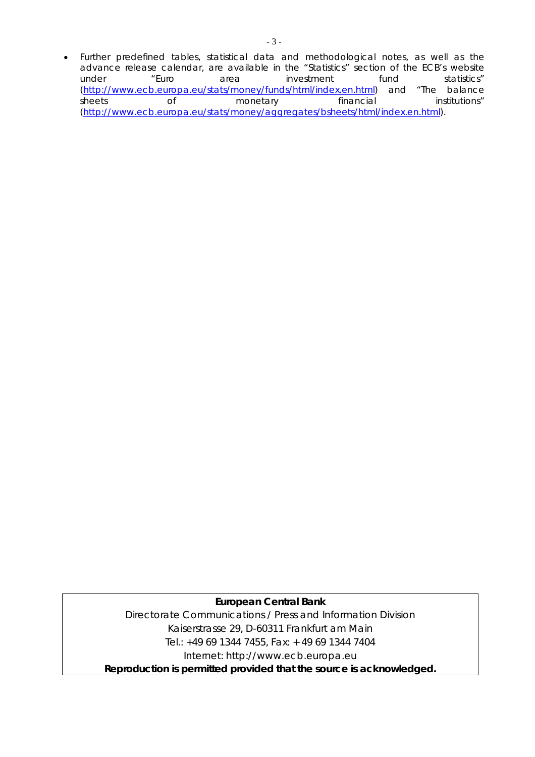*Further predefined tables, statistical data and methodological notes, as well as the advance release calendar, are available in the "Statistics" section of the ECB's website under "Euro area investment fund statistics" (http://www.ecb.europa.eu/stats/money/funds/html/index.en.html) and "The balance sheets of monetary financial institutions" (http://www.ecb.europa.eu/stats/money/aggregates/bsheets/html/index.en.html).* 

**European Central Bank**  Directorate Communications / Press and Information Division Kaiserstrasse 29, D-60311 Frankfurt am Main Tel.: +49 69 1344 7455, Fax: + 49 69 1344 7404 Internet: http://www.ecb.europa.eu **Reproduction is permitted provided that the source is acknowledged.**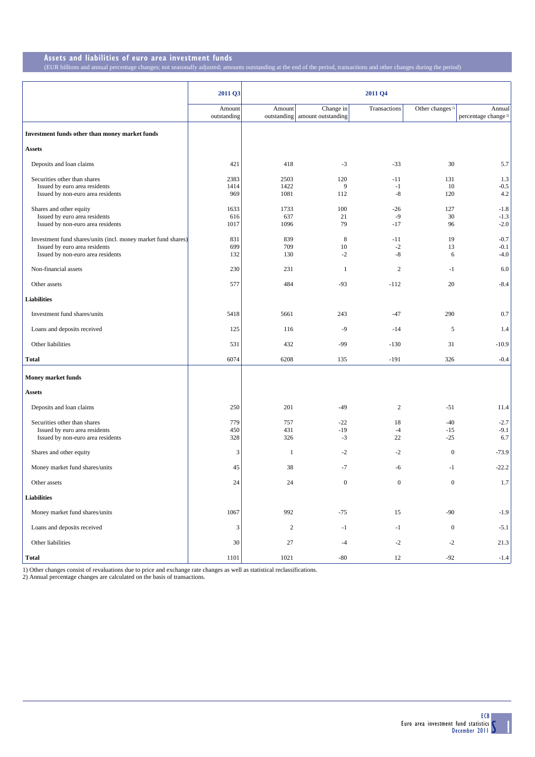## **Assets and liabilities of euro area investment funds** (EUR billions and annual percentage changes; not seasonally adjusted; amo

|                                                                                                                                     | 2011 Q3               |                      |                                             | 2011 Q4                |                             |                                           |
|-------------------------------------------------------------------------------------------------------------------------------------|-----------------------|----------------------|---------------------------------------------|------------------------|-----------------------------|-------------------------------------------|
|                                                                                                                                     | Amount<br>outstanding | Amount               | Change in<br>outstanding amount outstanding | Transactions           | Other changes <sup>1)</sup> | Annual<br>percentage change <sup>2)</sup> |
| Investment funds other than money market funds                                                                                      |                       |                      |                                             |                        |                             |                                           |
| <b>Assets</b>                                                                                                                       |                       |                      |                                             |                        |                             |                                           |
| Deposits and loan claims                                                                                                            | 421                   | 418                  | $-3$                                        | $-33$                  | 30                          | 5.7                                       |
| Securities other than shares<br>Issued by euro area residents<br>Issued by non-euro area residents                                  | 2383<br>1414<br>969   | 2503<br>1422<br>1081 | 120<br>9<br>112                             | $-11$<br>$-1$<br>$-8$  | 131<br>10<br>120            | 1.3<br>$-0.5$<br>$4.2\,$                  |
| Shares and other equity<br>Issued by euro area residents<br>Issued by non-euro area residents                                       | 1633<br>616<br>1017   | 1733<br>637<br>1096  | 100<br>21<br>79                             | $-26$<br>$-9$<br>$-17$ | 127<br>30<br>96             | $-1.8$<br>$-1.3$<br>$-2.0$                |
| Investment fund shares/units (incl. money market fund shares)<br>Issued by euro area residents<br>Issued by non-euro area residents | 831<br>699<br>132     | 839<br>709<br>130    | 8<br>10<br>$-2$                             | $-11$<br>$-2$<br>$-8$  | 19<br>13<br>6               | $-0.7$<br>$-0.1$<br>$-4.0$                |
| Non-financial assets                                                                                                                | 230                   | 231                  | -1                                          | 2                      | $-1$                        | 6.0                                       |
| Other assets                                                                                                                        | 577                   | 484                  | $-93$                                       | $-112$                 | 20                          | $-8.4$                                    |
| <b>Liabilities</b>                                                                                                                  |                       |                      |                                             |                        |                             |                                           |
| Investment fund shares/units                                                                                                        | 5418                  | 5661                 | 243                                         | $-47$                  | 290                         | 0.7                                       |
| Loans and deposits received                                                                                                         | 125                   | 116                  | $-9$                                        | $-14$                  | 5                           | 1.4                                       |
| Other liabilities                                                                                                                   | 531                   | 432                  | $-99$                                       | $-130$                 | 31                          | $-10.9$                                   |
| Total                                                                                                                               | 6074                  | 6208                 | 135                                         | $-191$                 | 326                         | $-0.4$                                    |
| <b>Money market funds</b>                                                                                                           |                       |                      |                                             |                        |                             |                                           |
| <b>Assets</b>                                                                                                                       |                       |                      |                                             |                        |                             |                                           |
| Deposits and loan claims                                                                                                            | 250                   | 201                  | $-49$                                       | $\overline{c}$         | $-51$                       | 11.4                                      |
| Securities other than shares<br>Issued by euro area residents<br>Issued by non-euro area residents                                  | 779<br>450<br>328     | 757<br>431<br>326    | $-22$<br>$-19$<br>$-3$                      | 18<br>$-4$<br>22       | $-40$<br>$-15$<br>$-25$     | $-2.7$<br>$-9.1$<br>6.7                   |
| Shares and other equity                                                                                                             | 3                     | $\mathbf{1}$         | $-2$                                        | $-2$                   | $\mathbf{0}$                | $-73.9$                                   |
| Money market fund shares/units                                                                                                      | 45                    | 38                   | $-7$                                        | -6                     | $-1$                        | $-22.2$                                   |
| Other assets                                                                                                                        | $24\,$                | 24                   | $\boldsymbol{0}$                            | $\boldsymbol{0}$       | $\boldsymbol{0}$            | 1.7                                       |
| <b>Liabilities</b>                                                                                                                  |                       |                      |                                             |                        |                             |                                           |
| Money market fund shares/units                                                                                                      | 1067                  | 992                  | $-75$                                       | 15                     | $-90$                       | $-1.9$                                    |
| Loans and deposits received                                                                                                         | 3                     | $\sqrt{2}$           | $-1$                                        | $-1$                   | $\boldsymbol{0}$            | $-5.1$                                    |
| Other liabilities                                                                                                                   | 30                    | 27                   | $-4$                                        | $-2$                   | $-2$                        | 21.3                                      |
| <b>Total</b>                                                                                                                        | 1101                  | 1021                 | $-80$                                       | 12                     | $-92$                       | $-1.4$                                    |

unts outstanding at the end of the period, transactions and other changes during the period)

1) Other changes consist of revaluations due to price and exchange rate changes as well as statistical reclassifications. 2) Annual percentage changes are calculated on the basis of transactions.